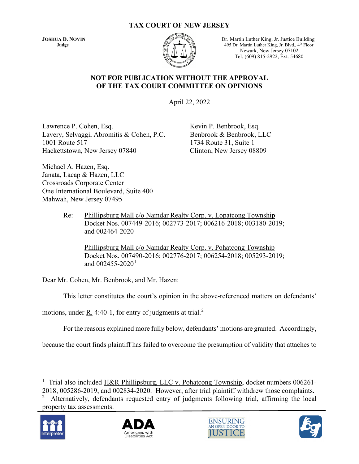#### **TAX COURT OF NEW JERSEY**



**JOSHUA D. NOVIN** Dr. Martin Luther King, Jr. Justice Building **Judge** 495 Dr. Martin Luther King, Jr. Blvd., 4<sup>th</sup> Floor Newark, New Jersey 07102 Tel: (609) 815-2922, Ext. 54680

#### **NOT FOR PUBLICATION WITHOUT THE APPROVAL OF THE TAX COURT COMMITTEE ON OPINIONS**

April 22, 2022

Lawrence P. Cohen, Esq. Kevin P. Benbrook, Esq. Lavery, Selvaggi, Abromitis & Cohen, P.C. Benbrook & Benbrook, LLC 1001 Route 517 1734 Route 31, Suite 1 Hackettstown, New Jersey 07840 Clinton, New Jersey 08809

Michael A. Hazen, Esq. Janata, Lacap & Hazen, LLC Crossroads Corporate Center One International Boulevard, Suite 400 Mahwah, New Jersey 07495

> Re: Phillipsburg Mall c/o Namdar Realty Corp. v. Lopatcong Township Docket Nos. 007449-2016; 002773-2017; 006216-2018; 003180-2019; and 002464-2020

Phillipsburg Mall c/o Namdar Realty Corp. v. Pohatcong Township Docket Nos. 007490-2016; 002776-2017; 006254-2018; 005293-2019; and  $002455 - 2020$ <sup>[1](#page-0-0)</sup>

Dear Mr. Cohen, Mr. Benbrook, and Mr. Hazen:

This letter constitutes the court's opinion in the above-referenced matters on defendants'

motions, under  $\underline{R}$ . 4:40-1, for entry of judgments at trial.<sup>[2](#page-0-1)</sup>

For the reasons explained more fully below, defendants' motions are granted. Accordingly,

because the court finds plaintiff has failed to overcome the presumption of validity that attaches to

<span id="page-0-1"></span>property tax assessments.









<span id="page-0-0"></span><sup>&</sup>lt;sup>1</sup> Trial also included H&R Phillipsburg, LLC v. Pohatcong Township, docket numbers 006261-

<sup>2018, 005286-2019,</sup> and 002834-2020. However, after trial plaintiff withdrew those complaints. 2 Alternatively, defendants requested entry of judgments following trial, affirming the local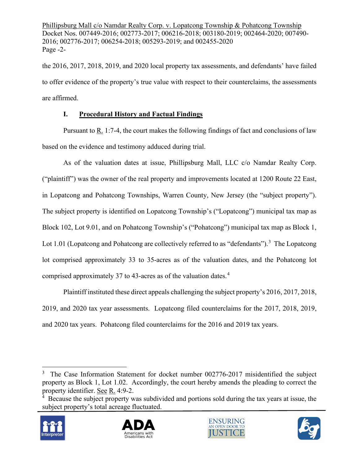Phillipsburg Mall c/o Namdar Realty Corp. v. Lopatcong Township & Pohatcong Township Docket Nos. 007449-2016; 002773-2017; 006216-2018; 003180-2019; 002464-2020; 007490- 2016; 002776-2017; 006254-2018; 005293-2019; and 002455-2020 Page -2-

the 2016, 2017, 2018, 2019, and 2020 local property tax assessments, and defendants' have failed to offer evidence of the property's true value with respect to their counterclaims, the assessments are affirmed.

# **I. Procedural History and Factual Findings**

Pursuant to R. 1:7-4, the court makes the following findings of fact and conclusions of law based on the evidence and testimony adduced during trial.

As of the valuation dates at issue, Phillipsburg Mall, LLC c/o Namdar Realty Corp. ("plaintiff") was the owner of the real property and improvements located at 1200 Route 22 East, in Lopatcong and Pohatcong Townships, Warren County, New Jersey (the "subject property"). The subject property is identified on Lopatcong Township's ("Lopatcong") municipal tax map as Block 102, Lot 9.01, and on Pohatcong Township's ("Pohatcong") municipal tax map as Block 1, Lot 1.01 (Lopatcong and Pohatcong are collectively referred to as "defendants").<sup>[3](#page-1-0)</sup> The Lopatcong lot comprised approximately 33 to 35-acres as of the valuation dates, and the Pohatcong lot comprised approximately 37 to [4](#page-1-1)3-acres as of the valuation dates.<sup>4</sup>

Plaintiff instituted these direct appeals challenging the subject property's 2016, 2017, 2018, 2019, and 2020 tax year assessments. Lopatcong filed counterclaims for the 2017, 2018, 2019, and 2020 tax years. Pohatcong filed counterclaims for the 2016 and 2019 tax years.

<span id="page-1-1"></span><sup>&</sup>lt;sup>4</sup> Because the subject property was subdivided and portions sold during the tax years at issue, the subject property's total acreage fluctuated.









<span id="page-1-0"></span><sup>&</sup>lt;sup>3</sup> The Case Information Statement for docket number 002776-2017 misidentified the subject property as Block 1, Lot 1.02. Accordingly, the court hereby amends the pleading to correct the property identifier. See R. 4:9-2.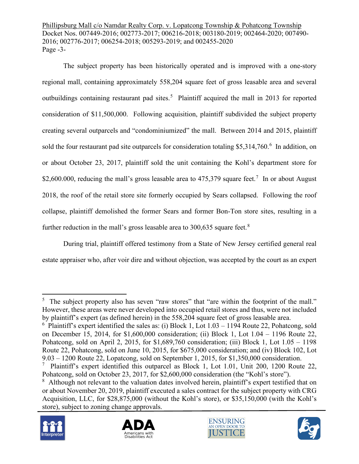Phillipsburg Mall c/o Namdar Realty Corp. v. Lopatcong Township & Pohatcong Township Docket Nos. 007449-2016; 002773-2017; 006216-2018; 003180-2019; 002464-2020; 007490- 2016; 002776-2017; 006254-2018; 005293-2019; and 002455-2020 Page -3-

The subject property has been historically operated and is improved with a one-story regional mall, containing approximately 558,204 square feet of gross leasable area and several outbuildings containing restaurant pad sites.<sup>[5](#page-2-0)</sup> Plaintiff acquired the mall in 2013 for reported consideration of \$11,500,000. Following acquisition, plaintiff subdivided the subject property creating several outparcels and "condominiumized" the mall. Between 2014 and 2015, plaintiff sold the four restaurant pad site outparcels for consideration totaling \$5,314,7[6](#page-2-1)0.<sup>6</sup> In addition, on or about October 23, 2017, plaintiff sold the unit containing the Kohl's department store for \$2,600.000, reducing the mall's gross leasable area to  $475,379$  $475,379$  $475,379$  square feet.<sup>7</sup> In or about August 2018, the roof of the retail store site formerly occupied by Sears collapsed. Following the roof collapse, plaintiff demolished the former Sears and former Bon-Ton store sites, resulting in a further reduction in the mall's gross leasable area to  $300.635$  square feet.<sup>[8](#page-2-3)</sup>

During trial, plaintiff offered testimony from a State of New Jersey certified general real estate appraiser who, after voir dire and without objection, was accepted by the court as an expert

<span id="page-2-3"></span><span id="page-2-2"></span><sup>&</sup>lt;sup>8</sup> Although not relevant to the valuation dates involved herein, plaintiff's expert testified that on or about November 20, 2019, plaintiff executed a sales contract for the subject property with CRG Acquisition, LLC, for \$28,875,000 (without the Kohl's store), or \$35,150,000 (with the Kohl's store), subject to zoning change approvals.









<span id="page-2-0"></span><sup>&</sup>lt;sup>5</sup> The subject property also has seven "raw stores" that "are within the footprint of the mall." However, these areas were never developed into occupied retail stores and thus, were not included by plaintiff's expert (as defined herein) in the 558,204 square feet of gross leasable area.

<span id="page-2-1"></span> $6$  Plaintiff's expert identified the sales as: (i) Block 1, Lot  $1.03 - 1194$  Route 22, Pohatcong, sold on December 15, 2014, for \$1,600,000 consideration; (ii) Block 1, Lot 1.04 – 1196 Route 22, Pohatcong, sold on April 2, 2015, for \$1,689,760 consideration; (iii) Block 1, Lot 1.05 – 1198 Route 22, Pohatcong, sold on June 10, 2015, for \$675,000 consideration; and (iv) Block 102, Lot 9.03 – 1200 Route 22, Lopatcong, sold on September 1, 2015, for \$1,350,000 consideration.

<sup>&</sup>lt;sup>7</sup> Plaintiff's expert identified this outparcel as Block 1, Lot 1.01, Unit 200, 1200 Route 22, Pohatcong, sold on October 23, 2017, for \$2,600,000 consideration (the "Kohl's store").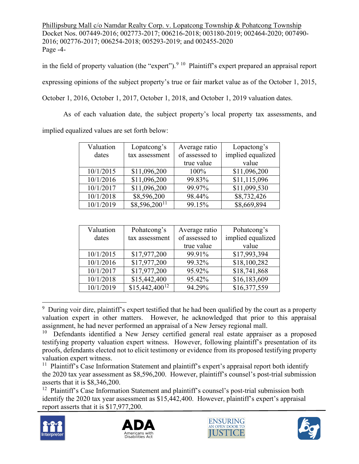Phillipsburg Mall c/o Namdar Realty Corp. v. Lopatcong Township & Pohatcong Township Docket Nos. 007449-2016; 002773-2017; 006216-2018; 003180-2019; 002464-2020; 007490- 2016; 002776-2017; 006254-2018; 005293-2019; and 002455-2020 Page -4-

in the field of property valuation (the "expert").<sup>[9](#page-3-0) [10](#page-3-1)</sup> Plaintiff's expert prepared an appraisal report expressing opinions of the subject property's true or fair market value as of the October 1, 2015, October 1, 2016, October 1, 2017, October 1, 2018, and October 1, 2019 valuation dates.

As of each valuation date, the subject property's local property tax assessments, and implied equalized values are set forth below:

| Valuation | Lopatcong's       | Average ratio  | Lopactong's       |
|-----------|-------------------|----------------|-------------------|
| dates     | tax assessment    | of assessed to | implied equalized |
|           |                   | true value     | value             |
| 10/1/2015 | \$11,096,200      | 100%           | \$11,096,200      |
| 10/1/2016 | \$11,096,200      | 99.83%         | \$11,115,096      |
| 10/1/2017 | \$11,096,200      | 99.97%         | \$11,099,530      |
| 10/1/2018 | \$8,596,200       | 98.44%         | \$8,732,426       |
| 10/1/2019 | $$8,596,200^{11}$ | 99.15%         | \$8,669,894       |

| Valuation | Pohatcong's        | Average ratio  | Pohatcong's       |
|-----------|--------------------|----------------|-------------------|
| dates     | tax assessment     | of assessed to | implied equalized |
|           |                    | true value     | value             |
| 10/1/2015 | \$17,977,200       | 99.91%         | \$17,993,394      |
| 10/1/2016 | \$17,977,200       | 99.32%         | \$18,100,282      |
| 10/1/2017 | \$17,977,200       | 95.92%         | \$18,741,868      |
| 10/1/2018 | \$15,442,400       | 95.42%         | \$16,183,609      |
| 10/1/2019 | $$15,442,400^{12}$ | 94.29%         | \$16,377,559      |

<span id="page-3-0"></span><sup>&</sup>lt;sup>9</sup> During voir dire, plaintiff's expert testified that he had been qualified by the court as a property valuation expert in other matters. However, he acknowledged that prior to this appraisal assignment, he had never performed an appraisal of a New Jersey regional mall.

<span id="page-3-3"></span> $12$  Plaintiff's Case Information Statement and plaintiff's counsel's post-trial submission both identify the 2020 tax year assessment as \$15,442,400. However, plaintiff's expert's appraisal report asserts that it is \$17,977,200.









<span id="page-3-1"></span> $10$  Defendants identified a New Jersey certified general real estate appraiser as a proposed testifying property valuation expert witness. However, following plaintiff's presentation of its proofs, defendants elected not to elicit testimony or evidence from its proposed testifying property valuation expert witness.

<span id="page-3-2"></span><sup>&</sup>lt;sup>11</sup> Plaintiff's Case Information Statement and plaintiff's expert's appraisal report both identify the 2020 tax year assessment as \$8,596,200. However, plaintiff's counsel's post-trial submission asserts that it is \$8,346,200.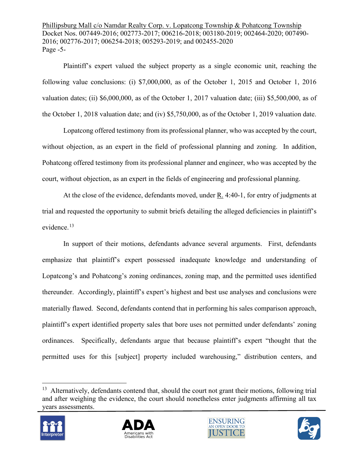Phillipsburg Mall c/o Namdar Realty Corp. v. Lopatcong Township & Pohatcong Township Docket Nos. 007449-2016; 002773-2017; 006216-2018; 003180-2019; 002464-2020; 007490- 2016; 002776-2017; 006254-2018; 005293-2019; and 002455-2020 Page -5-

Plaintiff's expert valued the subject property as a single economic unit, reaching the following value conclusions: (i) \$7,000,000, as of the October 1, 2015 and October 1, 2016 valuation dates; (ii) \$6,000,000, as of the October 1, 2017 valuation date; (iii) \$5,500,000, as of the October 1, 2018 valuation date; and (iv) \$5,750,000, as of the October 1, 2019 valuation date.

Lopatcong offered testimony from its professional planner, who was accepted by the court, without objection, as an expert in the field of professional planning and zoning. In addition, Pohatcong offered testimony from its professional planner and engineer, who was accepted by the court, without objection, as an expert in the fields of engineering and professional planning.

At the close of the evidence, defendants moved, under R. 4:40-1, for entry of judgments at trial and requested the opportunity to submit briefs detailing the alleged deficiencies in plaintiff's evidence. [13](#page-4-0)

In support of their motions, defendants advance several arguments. First, defendants emphasize that plaintiff's expert possessed inadequate knowledge and understanding of Lopatcong's and Pohatcong's zoning ordinances, zoning map, and the permitted uses identified thereunder. Accordingly, plaintiff's expert's highest and best use analyses and conclusions were materially flawed. Second, defendants contend that in performing his sales comparison approach, plaintiff's expert identified property sales that bore uses not permitted under defendants' zoning ordinances. Specifically, defendants argue that because plaintiff's expert "thought that the permitted uses for this [subject] property included warehousing," distribution centers, and

<span id="page-4-0"></span><sup>&</sup>lt;sup>13</sup> Alternatively, defendants contend that, should the court not grant their motions, following trial and after weighing the evidence, the court should nonetheless enter judgments affirming all tax years assessments.







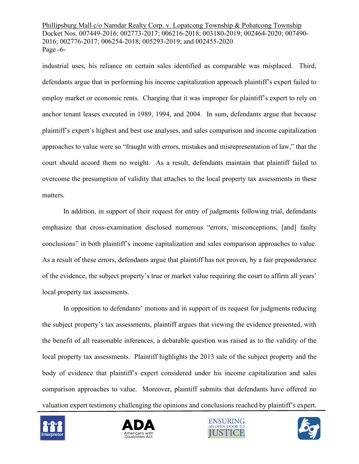Phillipsburg Mall c/o Namdar Realty Corp. v. Lopatcong Township & Pohatcong Township Docket Nos. 007449-2016; 002773-2017; 006216-2018; 003180-2019; 002464-2020; 007490- 2016; 002776-2017; 006254-2018; 005293-2019; and 002455-2020 Page -6-

industrial uses, his reliance on certain sales identified as comparable was misplaced. Third, defendants argue that in performing his income capitalization approach plaintiff's expert failed to employ market or economic rents. Charging that it was improper for plaintiff's expert to rely on anchor tenant leases executed in 1989, 1994, and 2004. In sum, defendants argue that because plaintiff's expert's highest and best use analyses, and sales comparison and income capitalization approaches to value were so "fraught with errors, mistakes and misrepresentation of law," that the court should accord them no weight. As a result, defendants maintain that plaintiff failed to overcome the presumption of validity that attaches to the local property tax assessments in these matters.

In addition, in support of their request for entry of judgments following trial, defendants emphasize that cross-examination disclosed numerous "errors, misconceptions, [and] faulty conclusions" in both plaintiff's income capitalization and sales comparison approaches to value. As a result of these errors, defendants argue that plaintiff has not proven, by a fair preponderance of the evidence, the subject property's true or market value requiring the court to affirm all years' local property tax assessments.

In opposition to defendants' motions and in support of its request for judgments reducing the subject property's tax assessments, plaintiff argues that viewing the evidence presented, with the benefit of all reasonable inferences, a debatable question was raised as to the validity of the local property tax assessments. Plaintiff highlights the 2013 sale of the subject property and the body of evidence that plaintiff's expert considered under his income capitalization and sales comparison approaches to value. Moreover, plaintiff submits that defendants have offered no valuation expert testimony challenging the opinions and conclusions reached by plaintiff's expert.







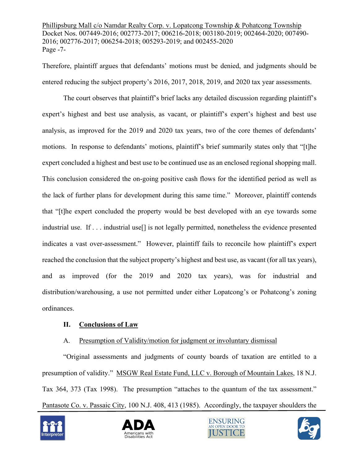Phillipsburg Mall c/o Namdar Realty Corp. v. Lopatcong Township & Pohatcong Township Docket Nos. 007449-2016; 002773-2017; 006216-2018; 003180-2019; 002464-2020; 007490- 2016; 002776-2017; 006254-2018; 005293-2019; and 002455-2020 Page -7-

Therefore, plaintiff argues that defendants' motions must be denied, and judgments should be entered reducing the subject property's 2016, 2017, 2018, 2019, and 2020 tax year assessments.

The court observes that plaintiff's brief lacks any detailed discussion regarding plaintiff's expert's highest and best use analysis, as vacant, or plaintiff's expert's highest and best use analysis, as improved for the 2019 and 2020 tax years, two of the core themes of defendants' motions. In response to defendants' motions, plaintiff's brief summarily states only that "[t]he expert concluded a highest and best use to be continued use as an enclosed regional shopping mall. This conclusion considered the on-going positive cash flows for the identified period as well as the lack of further plans for development during this same time." Moreover, plaintiff contends that "[t]he expert concluded the property would be best developed with an eye towards some industrial use. If . . . industrial use[] is not legally permitted, nonetheless the evidence presented indicates a vast over-assessment." However, plaintiff fails to reconcile how plaintiff's expert reached the conclusion that the subject property's highest and best use, as vacant (for all tax years), and as improved (for the 2019 and 2020 tax years), was for industrial and distribution/warehousing, a use not permitted under either Lopatcong's or Pohatcong's zoning ordinances.

#### **II. Conclusions of Law**

### A. Presumption of Validity/motion for judgment or involuntary dismissal

"Original assessments and judgments of county boards of taxation are entitled to a presumption of validity." MSGW Real Estate Fund, LLC v. Borough of Mountain Lakes, 18 N.J. Tax 364, 373 (Tax 1998). The presumption "attaches to the quantum of the tax assessment." Pantasote Co. v. Passaic City, 100 N.J. 408, 413 (1985). Accordingly, the taxpayer shoulders the







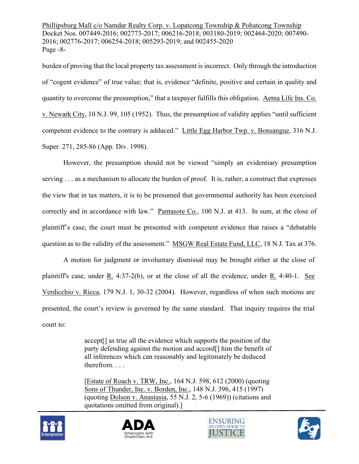Phillipsburg Mall c/o Namdar Realty Corp. v. Lopatcong Township & Pohatcong Township Docket Nos. 007449-2016; 002773-2017; 006216-2018; 003180-2019; 002464-2020; 007490- 2016; 002776-2017; 006254-2018; 005293-2019; and 002455-2020 Page -8-

burden of proving that the local property tax assessment is incorrect. Only through the introduction of "cogent evidence" of true value; that is, evidence "definite, positive and certain in quality and quantity to overcome the presumption," that a taxpayer fulfills this obligation. Aetna Life Ins. Co. v. Newark City, 10 N.J. 99, 105 (1952). Thus, the presumption of validity applies "until sufficient competent evidence to the contrary is adduced." Little Egg Harbor Twp. v. Bonsangue, 316 N.J. Super. 271, 285-86 (App. Div. 1998).

However, the presumption should not be viewed "simply an evidentiary presumption serving . . . as a mechanism to allocate the burden of proof. It is, rather, a construct that expresses the view that in tax matters, it is to be presumed that governmental authority has been exercised correctly and in accordance with law." Pantasote Co., 100 N.J. at 413. In sum, at the close of plaintiff's case, the court must be presented with competent evidence that raises a "debatable question as to the validity of the assessment." MSGW Real Estate Fund, LLC, 18 N.J. Tax at 376.

A motion for judgment or involuntary dismissal may be brought either at the close of plaintiff's case, under R. 4:37-2(b), or at the close of all the evidence, under R. 4:40-1. See [Verdicchio v. Ricca, 179 N.J.](https://advance.lexis.com/api/document/collection/cases/id/4CC3-CWR0-0039-42VV-00000-00?page=30&reporter=3300&context=1000516) 1, 30-32 (2004). However, regardless of when such motions are presented, the court's review is governed by the same standard. That inquiry requires the trial court to:

> accept[] as true all the evidence which supports the position of the party defending against the motion and accord[] him the benefit of all inferences which can reasonably and legitimately be deduced therefrom. . . .

> [Estate of Roach v. TRW, Inc., 164 N.J. 598, 612 (2000) (quoting Sons of Thunder, Inc. v. Borden, Inc., 148 N.J. 396, 415 (1997) (quoting Dolson v. Anastasia, 55 N.J. 2, 5-6 (1969)) (citations and quotations omitted from original).]







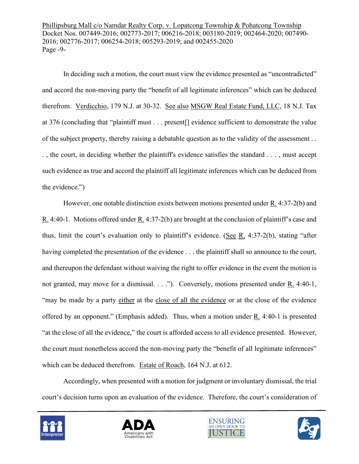Phillipsburg Mall c/o Namdar Realty Corp. v. Lopatcong Township & Pohatcong Township Docket Nos. 007449-2016; 002773-2017; 006216-2018; 003180-2019; 002464-2020; 007490- 2016; 002776-2017; 006254-2018; 005293-2019; and 002455-2020 Page -9-

In deciding such a motion, the court must view the evidence presented as "uncontradicted" and accord the non-moving party the "benefit of all legitimate inferences" which can be deduced therefrom. [Verdicchio, 179 N.J.](https://advance.lexis.com/api/document/collection/cases/id/4CC3-CWR0-0039-42VV-00000-00?page=30&reporter=3300&context=1000516) at 30-32. See also MSGW Real Estate Fund, LLC, 18 N.J. Tax at 376 (concluding that "plaintiff must . . . present[] evidence sufficient to demonstrate the value of the subject property, thereby raising a debatable question as to the validity of the assessment . . . , the court, in deciding whether the plaintiff's evidence satisfies the standard . . . , must accept such evidence as true and accord the plaintiff all legitimate inferences which can be deduced from the evidence.")

However, one notable distinction exists between motions presented under R. 4:37-2(b) and R. 4:40-1. Motions offered under R. 4:37-2(b) are brought at the conclusion of plaintiff's case and thus, limit the court's evaluation only to plaintiff's evidence. (See R. 4:37-2(b), stating "after having completed the presentation of the evidence ... the plaintiff shall so announce to the court, and thereupon the defendant without waiving the right to offer evidence in the event the motion is not granted, may move for a dismissal. . . ."). Conversely, motions presented under R. 4:40-1, "may be made by a party either at the close of all the evidence or at the close of the evidence offered by an opponent." (Emphasis added). Thus, when a motion under  $R_1$ . 4:40-1 is presented "at the close of all the evidence," the court is afforded access to all evidence presented. However, the court must nonetheless accord the non-moving party the "benefit of all legitimate inferences" which can be deduced therefrom. Estate of Roach, 164 N.J. at 612.

Accordingly, when presented with a motion for judgment or involuntary dismissal, the trial court's decision turns upon an evaluation of the evidence. Therefore, the court's consideration of







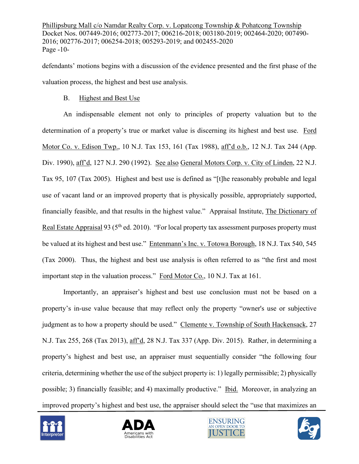Phillipsburg Mall c/o Namdar Realty Corp. v. Lopatcong Township & Pohatcong Township Docket Nos. 007449-2016; 002773-2017; 006216-2018; 003180-2019; 002464-2020; 007490- 2016; 002776-2017; 006254-2018; 005293-2019; and 002455-2020 Page -10-

defendants' motions begins with a discussion of the evidence presented and the first phase of the valuation process, the highest and best use analysis.

#### B. Highest and Best Use

An indispensable element not only to principles of property valuation but to the determination of a property's true or market value is discerning its highest and best use. Ford Motor Co. v. Edison Twp., 10 N.J. Tax 153, 161 (Tax 1988), aff'd o.b., 12 N.J. Tax 244 (App. Div. 1990), aff'd, 127 N.J. 290 (1992). See also General Motors Corp. v. City of Linden, 22 N.J. Tax 95, 107 (Tax 2005). Highest and best use is defined as "[t]he reasonably probable and legal use of vacant land or an improved property that is physically possible, appropriately supported, financially feasible, and that results in the highest value." Appraisal Institute, The Dictionary of Real Estate Appraisal 93 (5<sup>th</sup> ed. 2010). "For local property tax assessment purposes property must be valued at its highest and best use." Entenmann's Inc. v. Totowa Borough, 18 N.J. Tax 540, 545 (Tax 2000). Thus, the highest and best use analysis is often referred to as "the first and most important step in the valuation process." Ford Motor Co., 10 N.J. Tax at 161.

Importantly, an appraiser's highest and best use conclusion must not be based on a property's in-use value because that may reflect only the property "owner's use or subjective judgment as to how a property should be used." Clemente v. Township of South Hackensack, 27 N.J. Tax 255, 268 (Tax 2013), aff'd, 28 N.J. Tax 337 (App. Div. 2015). Rather, in determining a property's highest and best use, an appraiser must sequentially consider "the following four criteria, determining whether the use of the subject property is: 1) legally permissible; 2) physically possible; 3) financially feasible; and 4) maximally productive." Ibid. Moreover, in analyzing an improved property's highest and best use, the appraiser should select the "use that maximizes an







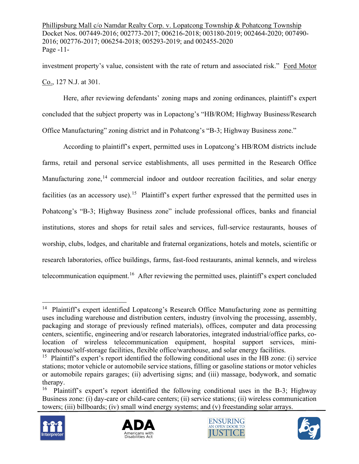Phillipsburg Mall c/o Namdar Realty Corp. v. Lopatcong Township & Pohatcong Township Docket Nos. 007449-2016; 002773-2017; 006216-2018; 003180-2019; 002464-2020; 007490- 2016; 002776-2017; 006254-2018; 005293-2019; and 002455-2020 Page -11-

investment property's value, consistent with the rate of return and associated risk." Ford Motor Co., 127 N.J. at 301.

Here, after reviewing defendants' zoning maps and zoning ordinances, plaintiff's expert concluded that the subject property was in Lopactong's "HB/ROM; Highway Business/Research Office Manufacturing" zoning district and in Pohatcong's "B-3; Highway Business zone."

According to plaintiff's expert, permitted uses in Lopatcong's HB/ROM districts include farms, retail and personal service establishments, all uses permitted in the Research Office Manufacturing zone,<sup>[14](#page-10-0)</sup> commercial indoor and outdoor recreation facilities, and solar energy facilities (as an accessory use).<sup>[15](#page-10-1)</sup> Plaintiff's expert further expressed that the permitted uses in Pohatcong's "B-3; Highway Business zone" include professional offices, banks and financial institutions, stores and shops for retail sales and services, full-service restaurants, houses of worship, clubs, lodges, and charitable and fraternal organizations, hotels and motels, scientific or research laboratories, office buildings, farms, fast-food restaurants, animal kennels, and wireless telecommunication equipment.<sup>[16](#page-10-2)</sup> After reviewing the permitted uses, plaintiff's expert concluded

<span id="page-10-2"></span><sup>&</sup>lt;sup>16</sup> Plaintiff's expert's report identified the following conditional uses in the B-3; Highway Business zone: (i) day-care or child-care centers; (ii) service stations; (ii) wireless communication towers; (iii) billboards; (iv) small wind energy systems; and (v) freestanding solar arrays.









<span id="page-10-0"></span><sup>&</sup>lt;sup>14</sup> Plaintiff's expert identified Lopatcong's Research Office Manufacturing zone as permitting uses including warehouse and distribution centers, industry (involving the processing, assembly, packaging and storage of previously refined materials), offices, computer and data processing centers, scientific, engineering and/or research laboratories, integrated industrial/office parks, colocation of wireless telecommunication equipment, hospital support services, miniwarehouse/self-storage facilities, flexible office/warehouse, and solar energy facilities.

<span id="page-10-1"></span><sup>&</sup>lt;sup>15</sup> Plaintiff's expert's report identified the following conditional uses in the HB zone: (i) service stations; motor vehicle or automobile service stations, filling or gasoline stations or motor vehicles or automobile repairs garages; (ii) advertising signs; and (iii) massage, bodywork, and somatic therapy.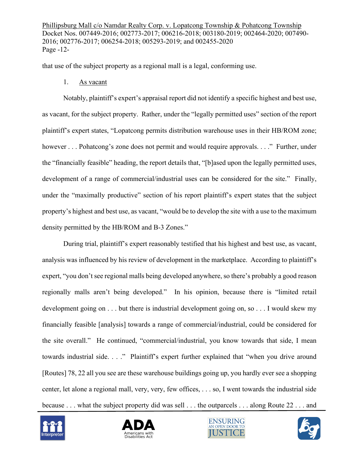Phillipsburg Mall c/o Namdar Realty Corp. v. Lopatcong Township & Pohatcong Township Docket Nos. 007449-2016; 002773-2017; 006216-2018; 003180-2019; 002464-2020; 007490- 2016; 002776-2017; 006254-2018; 005293-2019; and 002455-2020 Page -12-

that use of the subject property as a regional mall is a legal, conforming use.

1. As vacant

Notably, plaintiff's expert's appraisal report did not identify a specific highest and best use, as vacant, for the subject property. Rather, under the "legally permitted uses" section of the report plaintiff's expert states, "Lopatcong permits distribution warehouse uses in their HB/ROM zone; however . . . Pohatcong's zone does not permit and would require approvals. . . ." Further, under the "financially feasible" heading, the report details that, "[b]ased upon the legally permitted uses, development of a range of commercial/industrial uses can be considered for the site." Finally, under the "maximally productive" section of his report plaintiff's expert states that the subject property's highest and best use, as vacant, "would be to develop the site with a use to the maximum density permitted by the HB/ROM and B-3 Zones."

During trial, plaintiff's expert reasonably testified that his highest and best use, as vacant, analysis was influenced by his review of development in the marketplace. According to plaintiff's expert, "you don't see regional malls being developed anywhere, so there's probably a good reason regionally malls aren't being developed." In his opinion, because there is "limited retail development going on . . . but there is industrial development going on, so . . . I would skew my financially feasible [analysis] towards a range of commercial/industrial, could be considered for the site overall." He continued, "commercial/industrial, you know towards that side, I mean towards industrial side. . . ." Plaintiff's expert further explained that "when you drive around [Routes] 78, 22 all you see are these warehouse buildings going up, you hardly ever see a shopping center, let alone a regional mall, very, very, few offices, . . . so, I went towards the industrial side because . . . what the subject property did was sell . . . the outparcels . . . along Route 22 . . . and







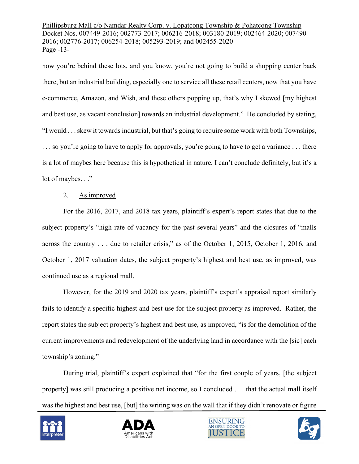Phillipsburg Mall c/o Namdar Realty Corp. v. Lopatcong Township & Pohatcong Township Docket Nos. 007449-2016; 002773-2017; 006216-2018; 003180-2019; 002464-2020; 007490- 2016; 002776-2017; 006254-2018; 005293-2019; and 002455-2020 Page -13-

now you're behind these lots, and you know, you're not going to build a shopping center back there, but an industrial building, especially one to service all these retail centers, now that you have e-commerce, Amazon, and Wish, and these others popping up, that's why I skewed [my highest and best use, as vacant conclusion] towards an industrial development." He concluded by stating, "I would . . . skew it towards industrial, but that's going to require some work with both Townships, ... so you're going to have to apply for approvals, you're going to have to get a variance ... there is a lot of maybes here because this is hypothetical in nature, I can't conclude definitely, but it's a lot of maybes. . ."

### 2. As improved

For the 2016, 2017, and 2018 tax years, plaintiff's expert's report states that due to the subject property's "high rate of vacancy for the past several years" and the closures of "malls across the country . . . due to retailer crisis," as of the October 1, 2015, October 1, 2016, and October 1, 2017 valuation dates, the subject property's highest and best use, as improved, was continued use as a regional mall.

However, for the 2019 and 2020 tax years, plaintiff's expert's appraisal report similarly fails to identify a specific highest and best use for the subject property as improved. Rather, the report states the subject property's highest and best use, as improved, "is for the demolition of the current improvements and redevelopment of the underlying land in accordance with the [sic] each township's zoning."

During trial, plaintiff's expert explained that "for the first couple of years, [the subject property] was still producing a positive net income, so I concluded . . . that the actual mall itself was the highest and best use, [but] the writing was on the wall that if they didn't renovate or figure







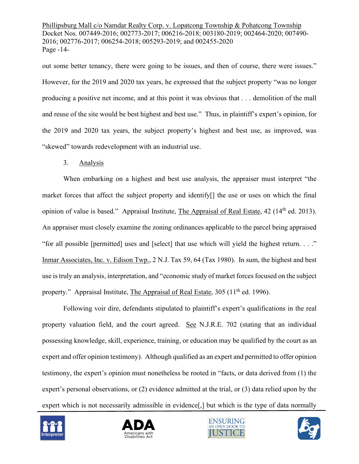Phillipsburg Mall c/o Namdar Realty Corp. v. Lopatcong Township & Pohatcong Township Docket Nos. 007449-2016; 002773-2017; 006216-2018; 003180-2019; 002464-2020; 007490- 2016; 002776-2017; 006254-2018; 005293-2019; and 002455-2020 Page -14-

out some better tenancy, there were going to be issues, and then of course, there were issues." However, for the 2019 and 2020 tax years, he expressed that the subject property "was no longer producing a positive net income, and at this point it was obvious that . . . demolition of the mall and reuse of the site would be best highest and best use." Thus, in plaintiff's expert's opinion, for the 2019 and 2020 tax years, the subject property's highest and best use, as improved, was "skewed" towards redevelopment with an industrial use.

### 3. Analysis

When embarking on a highest and best use analysis, the appraiser must interpret "the market forces that affect the subject property and identify[] the use or uses on which the final opinion of value is based." Appraisal Institute, The Appraisal of Real Estate, 42 (14<sup>th</sup> ed. 2013). An appraiser must closely examine the zoning ordinances applicable to the parcel being appraised "for all possible [permitted] uses and [select] that use which will yield the highest return. . . ." Inmar Associates, Inc. v. Edison Twp., 2 N.J. Tax 59, 64 (Tax 1980). In sum, the highest and best use is truly an analysis, interpretation, and "economic study of market forces focused on the subject property." Appraisal Institute, The Appraisal of Real Estate, 305 (11<sup>th</sup> ed. 1996).

Following voir dire, defendants stipulated to plaintiff's expert's qualifications in the real property valuation field, and the court agreed. See N.J.R.E. 702 (stating that an individual possessing knowledge, skill, experience, training, or education may be qualified by the court as an expert and offer opinion testimony). Although qualified as an expert and permitted to offer opinion testimony, the expert's opinion must nonetheless be rooted in "facts, or data derived from (1) the expert's personal observations, or (2) evidence admitted at the trial, or (3) data relied upon by the expert which is not necessarily admissible in evidence, but which is the type of data normally







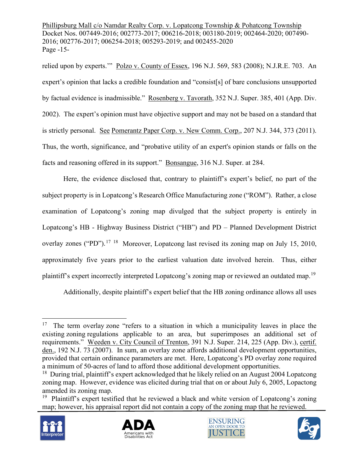Phillipsburg Mall c/o Namdar Realty Corp. v. Lopatcong Township & Pohatcong Township Docket Nos. 007449-2016; 002773-2017; 006216-2018; 003180-2019; 002464-2020; 007490- 2016; 002776-2017; 006254-2018; 005293-2019; and 002455-2020 Page -15-

relied upon by experts.'" Polzo v. County of Essex, 196 N.J. 569, 583 (2008); N.J.R.E. 703. An expert's opinion that lacks a credible foundation and "consist[s] of bare conclusions unsupported by factual evidence is inadmissible." Rosenberg v. Tavorath, 352 N.J. Super. 385, 401 (App. Div. 2002). The expert's opinion must have objective support and may not be based on a standard that is strictly personal. See Pomerantz Paper Corp. v. New Comm. Corp., 207 N.J. 344, 373 (2011). Thus, the worth, significance, and "probative utility of an expert's opinion stands or falls on the facts and reasoning offered in its support." Bonsangue, 316 N.J. Super. at 284.

Here, the evidence disclosed that, contrary to plaintiff's expert's belief, no part of the subject property is in Lopatcong's Research Office Manufacturing zone ("ROM"). Rather, a close examination of Lopatcong's zoning map divulged that the subject property is entirely in Lopatcong's HB - Highway Business District ("HB") and PD – Planned Development District overlay zones ("PD").<sup>[17](#page-14-0) [18](#page-14-1)</sup> Moreover, Lopatcong last revised its zoning map on July 15, 2010, approximately five years prior to the earliest valuation date involved herein. Thus, either plaintiff's expert incorrectly interpreted Lopatcong's zoning map or reviewed an outdated map.<sup>[19](#page-14-2)</sup>

Additionally, despite plaintiff's expert belief that the HB zoning ordinance allows all uses

<span id="page-14-2"></span> $19$  Plaintiff's expert testified that he reviewed a black and white version of Lopatcong's zoning map; however, his appraisal report did not contain a copy of the zoning map that he reviewed.









<span id="page-14-0"></span> $17$  The term overlay zone "refers to a situation in which a municipality leaves in place the existing zoning regulations applicable to an area, but superimposes an additional set of requirements." Weeden v. City Council of Trenton, 391 N.J. Super. 214, 225 (App. Div.), certif. den., 192 N.J. 73 (2007). In sum, an overlay zone affords additional development opportunities, provided that certain ordinance parameters are met. Here, Lopatcong's PD overlay zone required a minimum of 50-acres of land to afford those additional development opportunities.

<span id="page-14-1"></span><sup>&</sup>lt;sup>18</sup> During trial, plaintiff's expert acknowledged that he likely relied on an August 2004 Lopatcong zoning map. However, evidence was elicited during trial that on or about July 6, 2005, Lopactong amended its zoning map.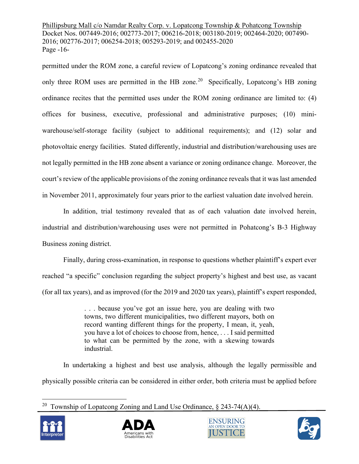Phillipsburg Mall c/o Namdar Realty Corp. v. Lopatcong Township & Pohatcong Township Docket Nos. 007449-2016; 002773-2017; 006216-2018; 003180-2019; 002464-2020; 007490- 2016; 002776-2017; 006254-2018; 005293-2019; and 002455-2020 Page -16-

permitted under the ROM zone, a careful review of Lopatcong's zoning ordinance revealed that only three ROM uses are permitted in the HB zone.<sup>20</sup> Specifically, Lopatcong's HB zoning ordinance recites that the permitted uses under the ROM zoning ordinance are limited to: (4) offices for business, executive, professional and administrative purposes; (10) miniwarehouse/self-storage facility (subject to additional requirements); and (12) solar and photovoltaic energy facilities. Stated differently, industrial and distribution/warehousing uses are not legally permitted in the HB zone absent a variance or zoning ordinance change. Moreover, the court's review of the applicable provisions of the zoning ordinance reveals that it was last amended in November 2011, approximately four years prior to the earliest valuation date involved herein.

In addition, trial testimony revealed that as of each valuation date involved herein, industrial and distribution/warehousing uses were not permitted in Pohatcong's B-3 Highway Business zoning district.

Finally, during cross-examination, in response to questions whether plaintiff's expert ever reached "a specific" conclusion regarding the subject property's highest and best use, as vacant (for all tax years), and as improved (for the 2019 and 2020 tax years), plaintiff's expert responded,

> . . . because you've got an issue here, you are dealing with two towns, two different municipalities, two different mayors, both on record wanting different things for the property, I mean, it, yeah, you have a lot of choices to choose from, hence, . . . I said permitted to what can be permitted by the zone, with a skewing towards industrial.

In undertaking a highest and best use analysis, although the legally permissible and physically possible criteria can be considered in either order, both criteria must be applied before

<span id="page-15-0"></span><sup>&</sup>lt;sup>20</sup> Township of Lopatcong Zoning and Land Use Ordinance,  $\S$  243-74(A)(4).







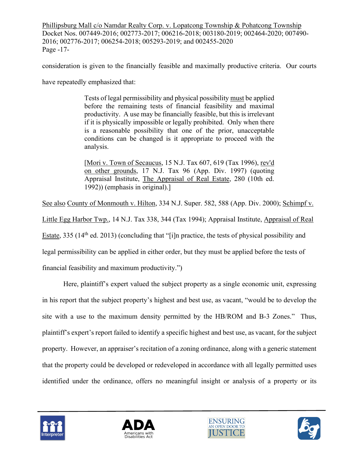Phillipsburg Mall c/o Namdar Realty Corp. v. Lopatcong Township & Pohatcong Township Docket Nos. 007449-2016; 002773-2017; 006216-2018; 003180-2019; 002464-2020; 007490- 2016; 002776-2017; 006254-2018; 005293-2019; and 002455-2020 Page -17-

consideration is given to the financially feasible and maximally productive criteria. Our courts

have repeatedly emphasized that:

Tests of legal permissibility and physical possibility must be applied before the remaining tests of financial feasibility and maximal productivity. A use may be financially feasible, but this is irrelevant if it is physically impossible or legally prohibited. Only when there is a reasonable possibility that one of the prior, unacceptable conditions can be changed is it appropriate to proceed with the analysis.

[Mori v. Town of Secaucus, 15 N.J. Tax 607, 619 (Tax 1996), rev'd on other grounds, 17 N.J. Tax 96 (App. Div. 1997) (quoting Appraisal Institute, The Appraisal of Real Estate, 280 (10th ed. 1992)) (emphasis in original).]

See also County of Monmouth v. Hilton, 334 N.J. Super. 582, 588 (App. Div. 2000); [Schimpf v.](https://advance.lexis.com/api/document/collection/cases/id/3SF5-PS20-000H-S052-00000-00?page=344&reporter=3305&cite=14%20N.J.%20Tax%20338&context=1000516) 

[Little Egg Harbor Twp., 14 N.J. Tax 338, 344 \(Tax 1994\); Appraisal Institute, Appraisal of Real](https://advance.lexis.com/api/document/collection/cases/id/3SF5-PS20-000H-S052-00000-00?page=344&reporter=3305&cite=14%20N.J.%20Tax%20338&context=1000516) 

Estate, 335 (14<sup>th</sup> ed. 2013) (concluding that "[i]n practice, the tests of physical possibility and

legal permissibility can be applied in either order, but they must be applied before the tests of

financial feasibility and maximum productivity.")

Here, plaintiff's expert valued the subject property as a single economic unit, expressing in his report that the subject property's highest and best use, as vacant, "would be to develop the site with a use to the maximum density permitted by the HB/ROM and B-3 Zones." Thus, plaintiff's expert's report failed to identify a specific highest and best use, as vacant, for the subject property. However, an appraiser's recitation of a zoning ordinance, along with a generic statement that the property could be developed or redeveloped in accordance with all legally permitted uses identified under the ordinance, offers no meaningful insight or analysis of a property or its







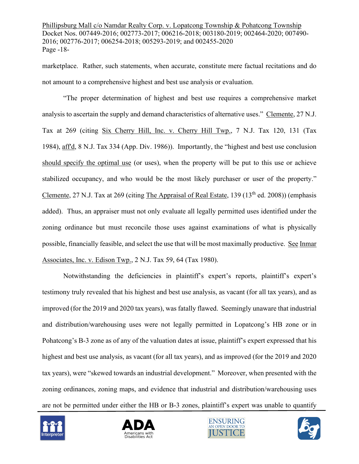Phillipsburg Mall c/o Namdar Realty Corp. v. Lopatcong Township & Pohatcong Township Docket Nos. 007449-2016; 002773-2017; 006216-2018; 003180-2019; 002464-2020; 007490- 2016; 002776-2017; 006254-2018; 005293-2019; and 002455-2020 Page -18-

marketplace. Rather, such statements, when accurate, constitute mere factual recitations and do not amount to a comprehensive highest and best use analysis or evaluation.

"The proper determination of highest and best use requires a comprehensive market analysis to ascertain the supply and demand characteristics of alternative uses." Clemente, 27 N.J. Tax at 269 (citing Six Cherry Hill, Inc. v. Cherry Hill Twp., 7 N.J. Tax 120, 131 (Tax 1984), aff'd, 8 N.J. Tax 334 (App. Div. 1986)). Importantly, the "highest and best use conclusion should specify the optimal use (or uses), when the property will be put to this use or achieve stabilized occupancy, and who would be the most likely purchaser or user of the property." Clemente, 27 N.J. Tax at 269 (citing The Appraisal of Real Estate, 139 (13<sup>th</sup> ed. 2008)) (emphasis added). Thus, an appraiser must not only evaluate all legally permitted uses identified under the zoning ordinance but must reconcile those uses against examinations of what is physically possible, financially feasible, and select the use that will be most maximally productive. See Inmar Associates, Inc. v. Edison Twp., 2 N.J. Tax 59, 64 (Tax 1980).

Notwithstanding the deficiencies in plaintiff's expert's reports, plaintiff's expert's testimony truly revealed that his highest and best use analysis, as vacant (for all tax years), and as improved (for the 2019 and 2020 tax years), was fatally flawed. Seemingly unaware that industrial and distribution/warehousing uses were not legally permitted in Lopatcong's HB zone or in Pohatcong's B-3 zone as of any of the valuation dates at issue, plaintiff's expert expressed that his highest and best use analysis, as vacant (for all tax years), and as improved (for the 2019 and 2020 tax years), were "skewed towards an industrial development." Moreover, when presented with the zoning ordinances, zoning maps, and evidence that industrial and distribution/warehousing uses are not be permitted under either the HB or B-3 zones, plaintiff's expert was unable to quantify







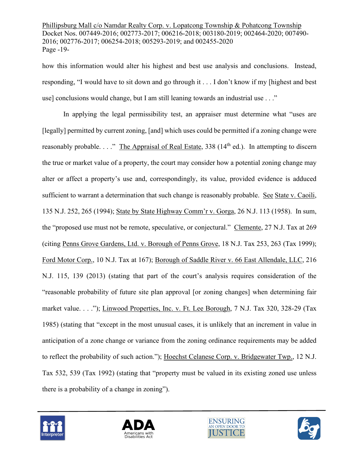Phillipsburg Mall c/o Namdar Realty Corp. v. Lopatcong Township & Pohatcong Township Docket Nos. 007449-2016; 002773-2017; 006216-2018; 003180-2019; 002464-2020; 007490- 2016; 002776-2017; 006254-2018; 005293-2019; and 002455-2020 Page -19-

how this information would alter his highest and best use analysis and conclusions. Instead, responding, "I would have to sit down and go through it . . . I don't know if my [highest and best use] conclusions would change, but I am still leaning towards an industrial use . . ."

In applying the legal permissibility test, an appraiser must determine what "uses are [legally] permitted by current zoning, [and] which uses could be permitted if a zoning change were reasonably probable.  $\ldots$ ." The Appraisal of Real Estate, 338 (14<sup>th</sup> ed.). In attempting to discern the true or market value of a property, the court may consider how a potential zoning change may alter or affect a property's use and, correspondingly, its value, provided evidence is adduced sufficient to warrant a determination that such change is reasonably probable. See State v. Caoili, 135 N.J. 252, 265 (1994); State by State Highway Comm'r v. Gorga, 26 N.J. 113 (1958). In sum, the "proposed use must not be remote, speculative, or conjectural." Clemente, 27 N.J. Tax at 269 (citing Penns Grove Gardens, Ltd. v. Borough of Penns Grove, 18 N.J. Tax 253, 263 (Tax 1999); Ford Motor Corp., 10 N.J. Tax at 167); [Borough of Saddle River v. 66 East Allendale, LLC, 216](https://advance.lexis.com/api/document/collection/cases/id/59MR-N1X1-F04H-V0F7-00000-00?page=139&reporter=3300&cite=216%20N.J.%20115&context=1000516)  [N.J. 115, 139 \(2013\) \(stating that part of the](https://advance.lexis.com/api/document/collection/cases/id/59MR-N1X1-F04H-V0F7-00000-00?page=139&reporter=3300&cite=216%20N.J.%20115&context=1000516) court's analysis requires consideration of the ["reasonable probability of future site plan approval \[or zoning changes\] when determining fair](https://advance.lexis.com/api/document/collection/cases/id/59MR-N1X1-F04H-V0F7-00000-00?page=139&reporter=3300&cite=216%20N.J.%20115&context=1000516)  [market value. . . ."\);](https://advance.lexis.com/api/document/collection/cases/id/59MR-N1X1-F04H-V0F7-00000-00?page=139&reporter=3300&cite=216%20N.J.%20115&context=1000516) Linwood Properties, Inc. v. Ft. Lee Borough, 7 N.J. Tax 320, 328-29 (Tax 1985) (stating that "except in the most unusual cases, it is unlikely that an increment in value in anticipation of a zone change or variance from the zoning ordinance requirements may be added to reflect the probability of such action."); Hoechst Celanese Corp. v. Bridgewater Twp., 12 N.J. Tax 532, 539 (Tax 1992) (stating that "property must be valued in its existing zoned use unless there is a probability of a change in zoning").







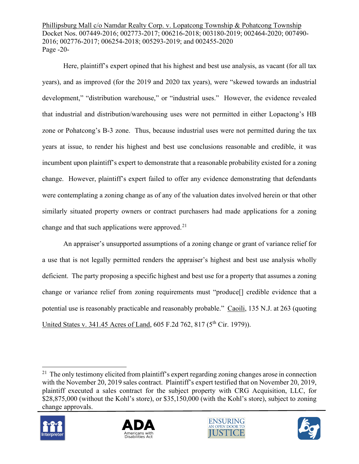Phillipsburg Mall c/o Namdar Realty Corp. v. Lopatcong Township & Pohatcong Township Docket Nos. 007449-2016; 002773-2017; 006216-2018; 003180-2019; 002464-2020; 007490- 2016; 002776-2017; 006254-2018; 005293-2019; and 002455-2020 Page -20-

Here, plaintiff's expert opined that his highest and best use analysis, as vacant (for all tax years), and as improved (for the 2019 and 2020 tax years), were "skewed towards an industrial development," "distribution warehouse," or "industrial uses." However, the evidence revealed that industrial and distribution/warehousing uses were not permitted in either Lopactong's HB zone or Pohatcong's B-3 zone. Thus, because industrial uses were not permitted during the tax years at issue, to render his highest and best use conclusions reasonable and credible, it was incumbent upon plaintiff's expert to demonstrate that a reasonable probability existed for a zoning change. However, plaintiff's expert failed to offer any evidence demonstrating that defendants were contemplating a zoning change as of any of the valuation dates involved herein or that other similarly situated property owners or contract purchasers had made applications for a zoning change and that such applications were approved. $21$ 

An appraiser's unsupported assumptions of a zoning change or grant of variance relief for a use that is not legally permitted renders the appraiser's highest and best use analysis wholly deficient. The party proposing a specific highest and best use for a property that assumes a zoning change or variance relief from zoning requirements must "produce[] credible evidence that a potential use is reasonably practicable and reasonably probable." Caoili, 135 N.J. at 263 (quoting United States v. 341.45 Acres of Land, 605 F.2d 762, 817 (5<sup>th</sup> Cir. 1979)).

<span id="page-19-0"></span><sup>&</sup>lt;sup>21</sup> The only testimony elicited from plaintiff's expert regarding zoning changes arose in connection with the November 20, 2019 sales contract. Plaintiff's expert testified that on November 20, 2019, plaintiff executed a sales contract for the subject property with CRG Acquisition, LLC, for \$28,875,000 (without the Kohl's store), or \$35,150,000 (with the Kohl's store), subject to zoning change approvals.







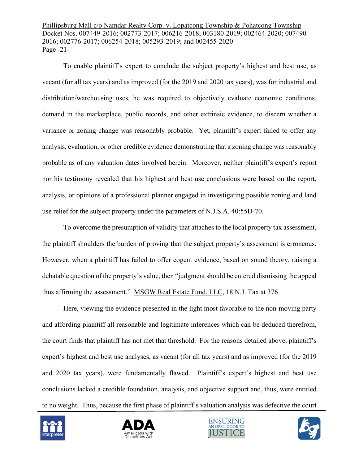Phillipsburg Mall c/o Namdar Realty Corp. v. Lopatcong Township & Pohatcong Township Docket Nos. 007449-2016; 002773-2017; 006216-2018; 003180-2019; 002464-2020; 007490- 2016; 002776-2017; 006254-2018; 005293-2019; and 002455-2020 Page -21-

To enable plaintiff's expert to conclude the subject property's highest and best use, as vacant (for all tax years) and as improved (for the 2019 and 2020 tax years), was for industrial and distribution/warehousing uses, he was required to objectively evaluate economic conditions, demand in the marketplace, public records, and other extrinsic evidence, to discern whether a variance or zoning change was reasonably probable. Yet, plaintiff's expert failed to offer any analysis, evaluation, or other credible evidence demonstrating that a zoning change was reasonably probable as of any valuation dates involved herein. Moreover, neither plaintiff's expert's report nor his testimony revealed that his highest and best use conclusions were based on the report, analysis, or opinions of a professional planner engaged in investigating possible zoning and land use relief for the subject property under the parameters of N.J.S.A. 40:55D-70.

To overcome the presumption of validity that attaches to the local property tax assessment, the plaintiff shoulders the burden of proving that the subject property's assessment is erroneous. However, when a plaintiff has failed to offer cogent evidence, based on sound theory, raising a debatable question of the property's value, then "judgment should be entered dismissing the appeal thus affirming the assessment." MSGW Real Estate Fund, LLC, 18 N.J. Tax at 376.

Here, viewing the evidence presented in the light most favorable to the non-moving party and affording plaintiff all reasonable and legitimate inferences which can be deduced therefrom, the court finds that plaintiff has not met that threshold. For the reasons detailed above, plaintiff's expert's highest and best use analyses, as vacant (for all tax years) and as improved (for the 2019 and 2020 tax years), were fundamentally flawed. Plaintiff's expert's highest and best use conclusions lacked a credible foundation, analysis, and objective support and, thus, were entitled to no weight. Thus, because the first phase of plaintiff's valuation analysis was defective the court